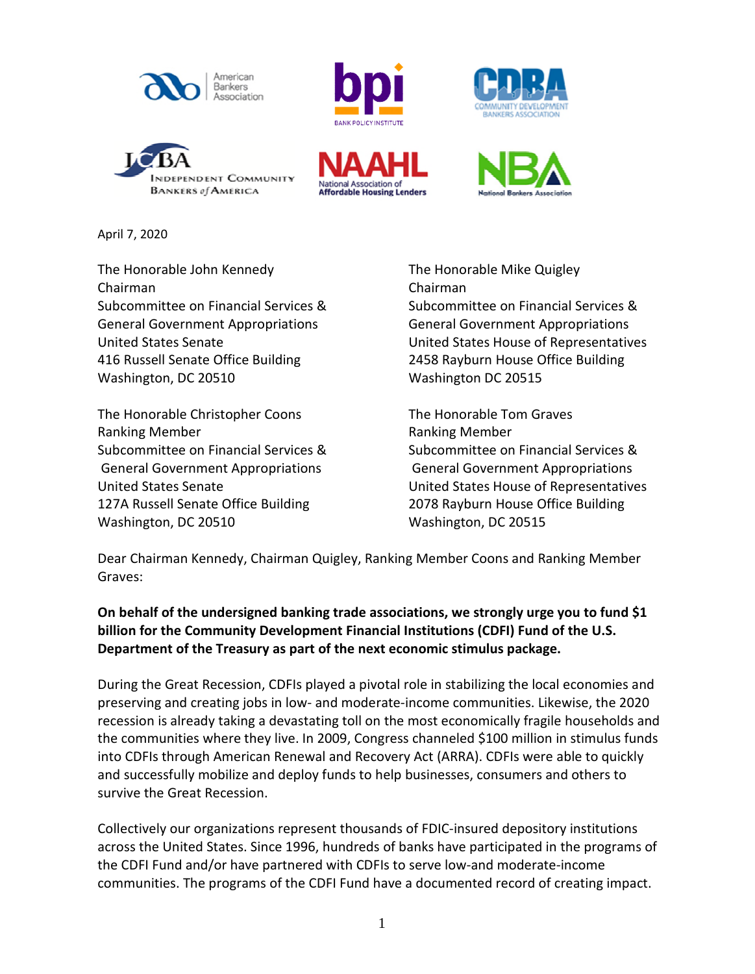











April 7, 2020

The Honorable John Kennedy The Honorable Mike Quigley Chairman Chairman General Government Appropriations General Government Appropriations 416 Russell Senate Office Building 2458 Rayburn House Office Building Washington, DC 20510 Washington DC 20515

The Honorable Christopher Coons The Honorable Tom Graves Ranking Member **Ranking Member** Ranking Member General Government Appropriations General Government Appropriations 127A Russell Senate Office Building 2078 Rayburn House Office Building Washington, DC 20510 Washington, DC 20515

Subcommittee on Financial Services & Subcommittee on Financial Services & United States Senate United States House of Representatives

Subcommittee on Financial Services & Subcommittee on Financial Services & United States Senate United States House of Representatives

Dear Chairman Kennedy, Chairman Quigley, Ranking Member Coons and Ranking Member Graves:

**On behalf of the undersigned banking trade associations, we strongly urge you to fund \$1 billion for the Community Development Financial Institutions (CDFI) Fund of the U.S. Department of the Treasury as part of the next economic stimulus package.**

During the Great Recession, CDFIs played a pivotal role in stabilizing the local economies and preserving and creating jobs in low- and moderate-income communities. Likewise, the 2020 recession is already taking a devastating toll on the most economically fragile households and the communities where they live. In 2009, Congress channeled \$100 million in stimulus funds into CDFIs through American Renewal and Recovery Act (ARRA). CDFIs were able to quickly and successfully mobilize and deploy funds to help businesses, consumers and others to survive the Great Recession.

Collectively our organizations represent thousands of FDIC-insured depository institutions across the United States. Since 1996, hundreds of banks have participated in the programs of the CDFI Fund and/or have partnered with CDFIs to serve low-and moderate-income communities. The programs of the CDFI Fund have a documented record of creating impact.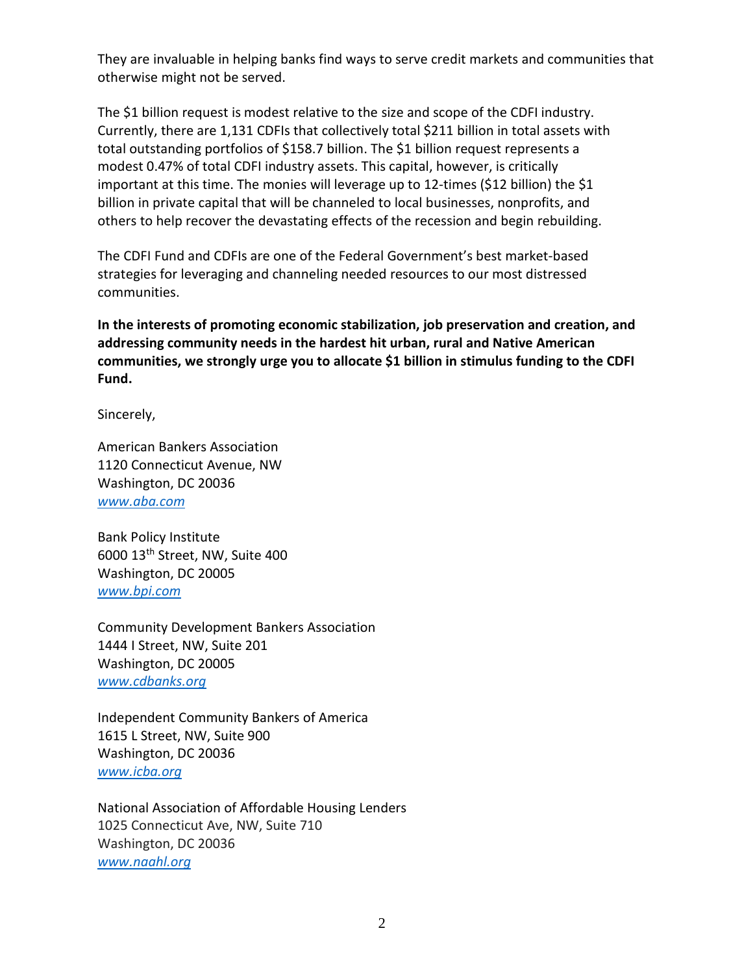They are invaluable in helping banks find ways to serve credit markets and communities that otherwise might not be served.

The \$1 billion request is modest relative to the size and scope of the CDFI industry. Currently, there are 1,131 CDFIs that collectively total \$211 billion in total assets with total outstanding portfolios of \$158.7 billion. The \$1 billion request represents a modest 0.47% of total CDFI industry assets. This capital, however, is critically important at this time. The monies will leverage up to 12-times (\$12 billion) the \$1 billion in private capital that will be channeled to local businesses, nonprofits, and others to help recover the devastating effects of the recession and begin rebuilding.

The CDFI Fund and CDFIs are one of the Federal Government's best market-based strategies for leveraging and channeling needed resources to our most distressed communities.

**In the interests of promoting economic stabilization, job preservation and creation, and addressing community needs in the hardest hit urban, rural and Native American communities, we strongly urge you to allocate \$1 billion in stimulus funding to the CDFI Fund.** 

Sincerely,

American Bankers Association 1120 Connecticut Avenue, NW Washington, DC 20036 *[www.aba.com](http://www.aba.com/)*

Bank Policy Institute 6000 13th Street, NW, Suite 400 Washington, DC 20005 *[www.bpi.com](http://www.bpi.com/)*

Community Development Bankers Association 1444 I Street, NW, Suite 201 Washington, DC 20005 *[www.cdbanks.org](http://www.cdbanks.org/)*

Independent Community Bankers of America 1615 L Street, NW, Suite 900 Washington, DC 20036 *[www.icba.org](http://www.icba.org/)*

National Association of Affordable Housing Lenders 1025 Connecticut Ave, NW, Suite 710 Washington, DC 20036 *www.naahl.org*